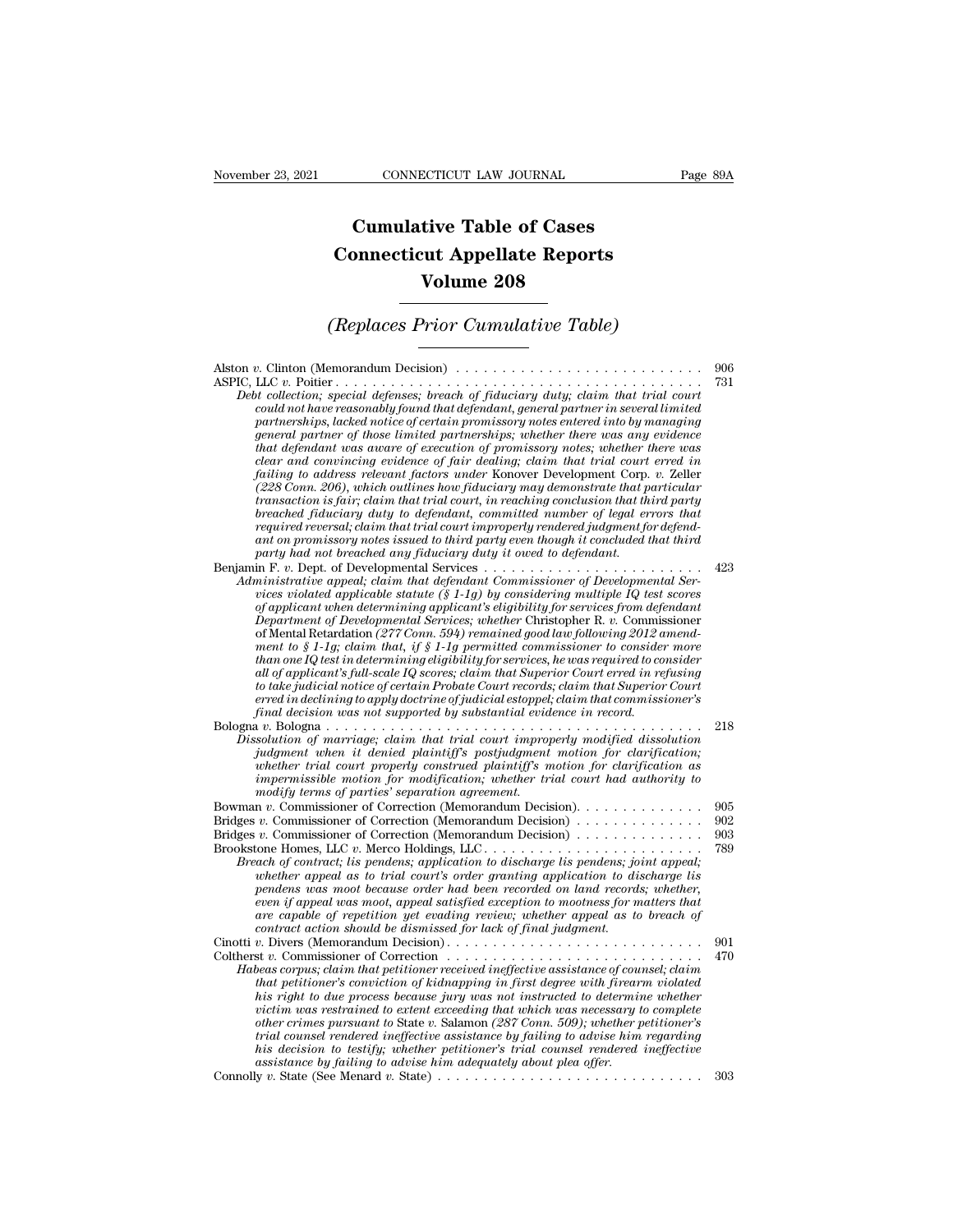## **CONNECTICUT LAW JOURNAL**<br> **Cumulative Table of Cases<br>
pnnecticut Appellate Reports CONNECTICUT LAW JOURNAL** Pa<br> **Cumulative Table of Cases**<br> **Connecticut Appellate Reports<br>
Volume 208 ECTICUT LAW JOURNAL**<br> **Volume 208**<br> **Volume 208**<br> **Volume 208**<br> **Prior Cumulative Table) Cumulative Table of Cases<br>
Connecticut Appellate Reports<br>
Volume 208<br>
(Replaces Prior Cumulative Table)**<br> **Conserved Conserved Appellative Table**

Alston *<sup>v</sup>*. Clinton (Memorandum Decision) . . . . . . . . . . . . . . . . . . . . . . . . . . . <sup>906</sup> ASPIC, LLC *v.* Poitier . . . . . . . . . . . . . . . . . . . . . . . . . . . . . . . . . . . . . . . . <sup>731</sup> *(Replaces Prior Cumulative Table)*<br>
Debt collection; special defenses; breach of fiduciary duty; claim that trial court<br>
Debt collection; special defenses; breach of fiduciary duty; claim that trial court<br>
could not have *could not have reasonably found that defendant, general matrice reasonably found to the reasonably found that defendant, general partner in several limited* could not have reasonably found that defendant, general partner *particulary into the process in the certain promissory notes in the collection; special defenses; breach of fiduciary duty; claim that trial court could not have reasonably found that defendant, general partner in several general partnerships; whereal memorial partnerships; whether the collection; special defenses; breach of fiduciary duty; claim that trial court could not have reasonably found that defendant, general partner in several li that defendant maximum Decision that defenses; breach of fiduciary duty; claim that trial court toollection; special defenses; breach of fiduciary duty; claim that trial court could not have reasonably found that defe clear and convincing pecision*)<br>*clear and the convincing evidences;*  $\frac{1}{2}$  and  $\frac{1}{2}$  and  $\frac{1}{2}$  and  $\frac{1}{2}$  and  $\frac{1}{2}$  convincing could not have reasonably found that defendant, general partner in severa *fail* to a conter  $f$  and  $f$  and  $f$  and  $f$  and  $f$  and  $f$  and  $f$  and  $f$  and  $f$  and  $f$  and  $f$  and  $f$  and  $f$  and  $f$  and  $f$  and  $f$  and  $f$  and  $f$  and  $f$  and  $f$  and  $f$  and  $f$  and  $f$  and  $f$  and  $f$  and  $f$ *(228 Conn.)* special defenses; breach of fuduciary duty; claim that trial court could not have reasonably found that defendant, general partner in several limited partnerships, lacked notice of certain promissory notes en *could not have reasonably found that defendant, general partner in several limited*<br>partnerships, lacked notice of certain promissory notes entered into by managing<br>general partner of those limited partnerships; whether t partnerships, lacked notice of certain promissory notes entered into by managing<br>general partner of those limited partnerships; whether there was any evidence<br>that defendant was aware of execution of promissory notes; whet *regeneral partner of those limited partnerships; whether there was any evidence<br>that defendant was aware of execution of promissory notes; whether there was<br>clear and convincing evidence of fair dealing; claim that trial that defendant was aware of execution of promissory notes; whether there was*<br>clear and convincing evidence of fair dealing; claim that trial court erred in<br>failing to address relevant factors under Konover Development Co *party and convincing evidence of fair dealing; claim that trial court failing to address relevant factors under Konover Development Corp.*<br>(228 Comr. 206), which outlines how fiduciary may demonstrate that p<br>transaction i Futury to daterss retevant factors under Kohover Development Corp. v. Zeher<br>
(228 Com. 206), which outlines how fiduciary may demonstrate that particular<br>
transaction is fair; claim that trial court, in reaching conclusion (228 Conn. 200), which outlines now fraucaary may demonstrate that furtral commission in that trial court, in reaching conclusion that third party<br>breached fiduciary duty to defendant, committed number of legal errors that *rransaction is jair; claim that trial court, in reaching conclusion that third party*<br>breached fiduciary duty to defendant, committed number of legal errors that<br>required reversal; claim that trial court improperly render *oreacnea pauciary auty to aegenaant, committed number of tegat errors that*<br>required reversal; claim that trial court improperly rendered judgment for defend-<br>ant on promissory notes issued to third party even though it c *Pequired reversal; claim that trial court improperty rendered judgment for defendant on promissory notes issued to third party even though it concluded that third party had not breached any fiduciary duty is over to defen* ant on promissory notes issued to third party even though it concluded that third<br>party had not breached any fiduciary duty it owed to defendant.<br>In F. v. Dept. of Developmental Services . . . . . . . . . . . . . . . . . . *ment to § 1-1g; claim that, if § 1-1g permitted commissioner to consider more than one IQ test in determining than one IC terministrative appeal; claim that defendant Commissioner of Developmental Services violated applicant is eligibility for services from defendant Department of Developmental Ser mmistrative appeal; claim that defendant Commissioner of Developmental Services violated applicable statute* (§ 1-1g) by considering multiple IQ test scores of applicant when determining applicant's eligibility for servic *vices violated applicable statute* (§ 1-1g) *by considering multiple IQ test scores* of applicant when determining applicant's eligibility for services from defendant Dependment of Developmental Services; whether Christop *erred in determining applicant's eligibility for services from defendant*<br>Department of Developmental Services; whether Christopher R. v. Commissioner<br>of Mental Retardation (277 Comm. 594) remained good law following 2012 *formeration Developmental Services; whether Christopher K. v. Commis* of Mental Retardation (277 Com. 594) remained good law following 2012 a ment to § 1-1g; claim that, if § 1-1g permitted commissioner to consider that a or Mental Retardation (277 Conn. 394) remained good law joutowing 2012 amena-<br>ment to § 1-1g; claim that, if § 1-1g permitted commissioner to consider more<br>than one IQ test in determining eligibility for services, he was r *Dissolution of marriage; claim that trial court improperly modified dissolution inan one IQ test in aetermining eugobity for services, ne was required to consider*<br>*id to applicant's full-scale IQ scores; claim that Superior Court erred in refusing<br>to take judicial notice of certain Probate Court rec whether trial court stylu-scale IQ scores; clarm that Supervor Court erred in repusing to take judicial notice of certain Probate Court records; claim that Superior Court erred in declining to apply doctrine of judicial e is the puatcal notice of certain Probate Court records; claim that superior Court erred in declining to apply doctrine of judicial estoppel; claim that commissioner's final decision was not supported by substantial eviden modify terms of parties' separation agreement.* Bowman *<sup>v</sup>*. Commissioner of Correction (Memorandum Decision). . . . . . . . . . . . . . <sup>905</sup> Bridges *<sup>v</sup>*. Commissioner of Correction (Memorandum Decision) . . . . . . . . . . . . . . <sup>902</sup> *Simulation of marriage, calum taut that court improperly construed plaintiff's postjudgment motion for clarification;*<br> *whether trial court properly construed plaintiff's motion for clarification* as<br> *impermissible moti* whether trial court properly construed plaintiff's motion for clarification as<br>impermissible motion for modification; whether trial court had authority to<br>modify terms of parties' separation agreement.<br>Bowman v. Commission *Breach of contract; lis pendens; application; whether trial court had authority to modify terms of parties' separation agreement.*<br>
The modify terms of parties' separation agreement.<br>
Then v. Commissioner of Correction (M *whether appeal as to trial court's order granting application to discharge lis pendens was moot because order had been recorded on land records; whether, even* if a commissioner of Correction (Memorandum Decision).<br> *v.* Commissioner of Correction (Memorandum Decision).<br> *v.* Commissioner of Correction (Memorandum Decision).<br>
2003<br>
ach of contract; lis pendens; application *a* commissioner of Correction (Memorandum Decision)<br> *are commissioner of Correction (Memorandum Decision)*<br> *acch of contract; lis pendens, application to discharge lis pendens; joint appeal;<br>
and ach of contract; lis pe v.* Commissioner of Correction (Memorandum Dectsion)<br>
cone Homes, LLC *v.* Merco Holdings, LLC  $\ldots$ ...........<br> *cach of contract; is pendens; application to discharge lis pendens; jouhether appeal as to trial court's or* Brookstone Homes, LLC *v*. were condumed and contract is pendens; joint appear and of contract, its pendens in polication to discharge is pendens was moot because order had been recorded on land records; whether, even if a Evention of contract, its permetus, implication to discharge tis whether appeal as to trial court's order granting application to discharge lis pendens was moot because order had been recorded on land records; whether, eve *Habeas corpus; claim that betrainer received in land records*, whether,<br> *Papelans was moot because order had been recorded on land records; whether*<br> *even if appeal was moot, appeal satisfied exception to mootness for m that periments was moot oecause order nad oeen recorded on tand records; whether, are capable of repetal was moot, appeal satisfied exception to mootness for matters that are capable of repetition yet evading review; whet his right to due process because jury was reduing review; whether appeal as to breach of* contract action should be dismissed for lack of final judgment as to breach of  $v$ . Divers (Memorandum Decision)................... *victim was restrained to extent exceeding that which was necessary to complete other crimes pursuant to* State *v.* Salamon *(287 Conn. 509); whether petitioner's trial counsel rendered ineffective assistance by failing to advise him regarding* Coltherst v. Commissioner of Correction<br> *habeas corpus; claim that petitioner received ineffective assistance of counsel; claim<br>
that petitioner's conviction of kidnapping in first degree with firearm volated<br>
<i>his right beas corpus; claim that petitioner received ineffective assistance of courthat petitioner's conviction of kidnapping in first degree with firearn his right to due process because jury was not instructed to determiniviecti* Individual pertitioner's conviction of kiangpping in first aggree with firearm violated<br>his right to due process because jury was not instructed to determine whether<br>victim was restrained to extent exceeding that which was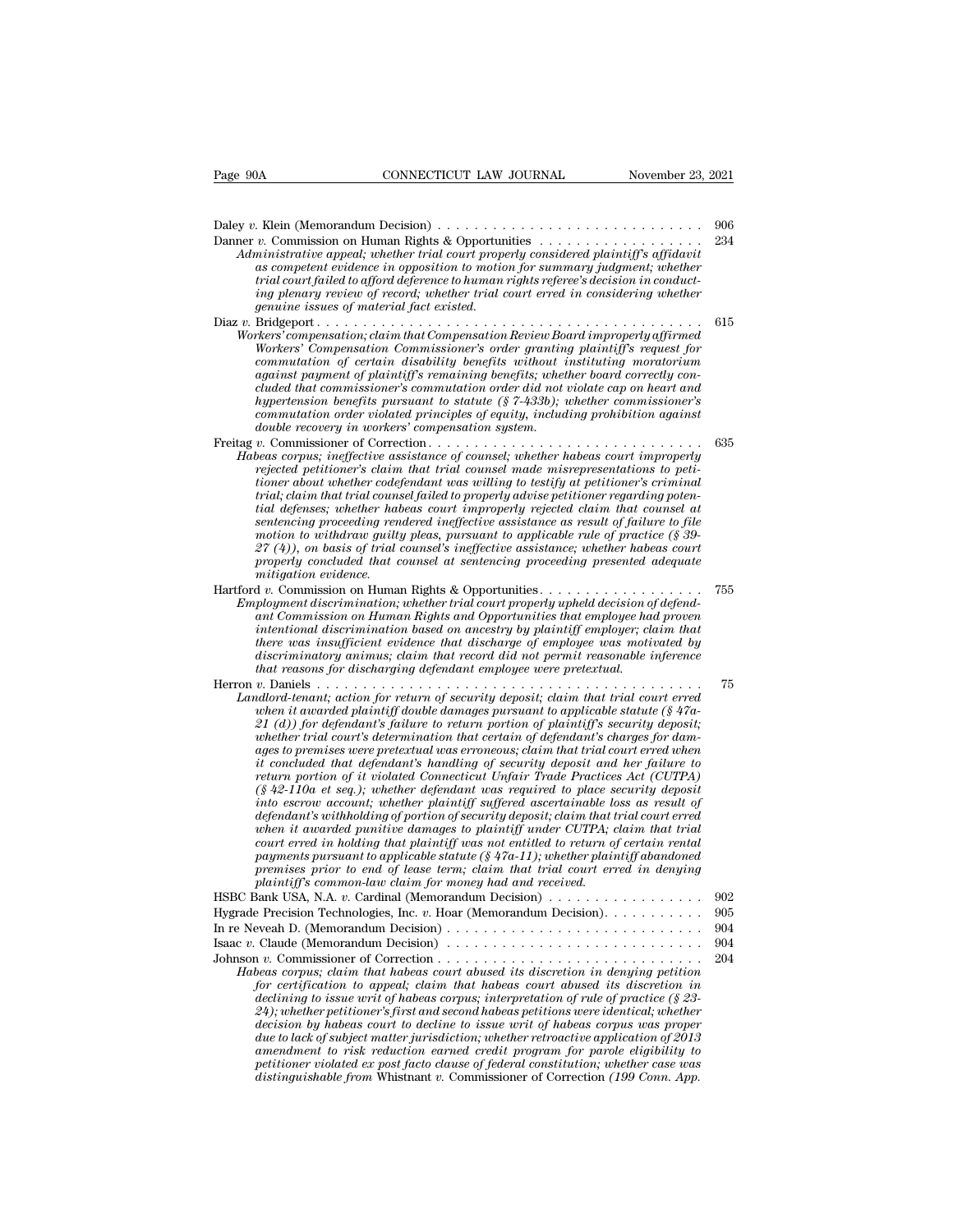Daley *<sup>v</sup>*. Klein (Memorandum Decision) . . . . . . . . . . . . . . . . . . . . . . . . . . . . . <sup>906</sup> Danner *v.* Commission on Human Rights & Opportunities . . . . . . . . . . . . . . . . . . <sup>234</sup> *Administrative appeal; whether trial court figures to hypergeometrial court properly v.* Klein (Memorandum Decision)<br>*Administrative appeal; whether trial court properly considered plaintiff's affidavit*<br>*as competent evi as* competent evidence in opposition to motion for summary judgment;<br> *as computer evidence in opposition for summary judgment; affidavit*<br> *as competent evidence in opposition to motion for summary judgment; whether*<br> *a trial court failed to afformation*  $\alpha$  *trial court property considered plaintiff's affidavity as competent evidence in opposition to motion for summary judgment; whether trial court failed to afford deference to human r i* Klein (Memorandum Decision)<br> *v*. Commission on Human Rights & Opportunities<br> *inistrative appeal; whether trial court properly considered plaintiff's affidavit*<br> *as competent evidence in opposition to motion for summ* Daley v. Klein (Memorandum Decision)<br>
Danner v. Commission on Human Rights & Opportunities<br> *Administrative appeal*; whether trial court properly considered plaintiff's affidavit<br>
as competent evidence in opposition to mot Dancy *v.* Commission on Human Rights & Opportunities<br>
Administrative appeal; whether trial court properly considered plaintiff's affidavit<br>
as competent evidence in opposition to motion for summary judgment; whether<br>
tria *Marmistrative appeal, whether trial court properly competent evaluation is competent evaluation* as *competent evaluation the opposition to motion for summary judgment; whether trial court failed to afford deference to Ministrative appeat, unether trial court property considered plaintiff's agrometent evidence in opposition to motion for summary judgment, whether trial court failed to afford deference to human rights referee's decision competent evidence in opposition to motion for summary juagment; whether*<br> *ciral court failed* to afford deference to human rights referee's decision in conduct-<br> *cing plenary review of record; whether trial court erred against payment of plaintiff's remaining benefits; whether board correctly concluded that commissioner's commutation order did not violate cap on heart and hypertension benefits pursuant to statute (§ 7-433b); whether commissioner's compensation, claim that Compensation Review Board improperly affirmed*<br>*commutation of certain disability benefits without instituting moratorium*<br> *commutation of certain disability benefits without instituting moratori commutation of certain disability benefits without instituting moratorium* against payment of plaintiff's remaining benefits; whether board correctly concluded that commissioner's commutation order did not violate cap on Freitag *v.* Compensation Commissioner's order printing planting moratorium<br>
against payment of plaintiff's remaining benefits; whether board correctly con-<br>
cluded that commissioner's commutation order did not violate cap *Habeas commutation of certain distorting benefits; whiteaut anstructing mortator-diated that commissioner's commutation order did not violate cap on heart and hypertension benefits pursuant to statute (§ 7-433b); whether reflued that commissioner's commutation order did not violate are on heart and commissioner's commutation order did not violate cap on heart and trial neighborhor's commutation order violated principles of equity, includi tioner about commissioner's commutation order at a not violate Cap on neart and commutation benefits pursuant to statute (§74-433b); whether commissioner's double recovery in workers' compensation system.*<br> *t.* Commissio *Habeas corpus; ineffective assistance of counsel; whether habeas court improperly rejected petitioner's claim that trial counsel made misrepresentations to petitioner about whether codefendant was willing to testify at pe tommutation order violated principies of equity, including prontotiton against* double recovery in workers' compensation system.<br>  $t$ . Commissioner of Correction  $\ldots$   $\ldots$   $\ldots$   $\ldots$   $\ldots$   $\ldots$   $\ldots$   $\ldots$   $\ldots$   $\ldots$ *sentencing proceeding rendered ineffective assistance as result of failure to file motion to withdraw guilty pleas, pursuant to applicable rule of practice (§ 39- 27 eas corpus; ineffective assistance of counsel; whether habeas court improperty*<br>rejected petitioner's claim that trial counsel made misrepresentations to peti-<br>triand trial counsel failed to property advise petitioner *properted petitioner's claim that trial counsel made misrepresentations to petitioner about whether codefendant was willing to testify at petitioner's criminal crial, claim that counsel failed to properly advise petitione mitigation that trial counsideration)*<br> *mital defenses; whether had*<br> *sentencing proceeding ren*<br> *motion to withdraw guilty*<br>  $27 (4)$ , on basis of trial is<br> *mitigation evidence.*<br> *mitigation evidence.*<br> *mitigation e* Frait, calim that cratter habeas court improperly rejected claim that counsel at the defenses; whether habeas court improperly rejected claim that counsel at sentencing proceeding rendered ineffective assistance as result *Employment discrimination proceeding realistical court in the sentencing proceeding realistance as result of failure to file-*<br>*27 (4)), on basis of trial counsel's ineffective assistance as result of practice (§ 39-*<br>*27 antion to withdraw guilty pleas, pursuant to applicable rule of practice (§ 39-*  $\mathbb{R}^2(4)$ ), on basis of trial counsel's ineffective assistance; whether habeas court properly concluded that counsel's ineffective assis *intution to windraw yalty pleas, parsuant to applicable rate of practice (§ 33-*<br>  $Z^2(4)$ ), on basis of trial counsel's ineffective assistance; whether habeas court<br> *properly concluded that counsel at sentencing proceed there was insufficient evidence that discharge of employee was motivated by discrimination evidence.*<br> *discrimination evidence.*<br> *discrimination*; whether trial court properly upheld decision of defend-<br> *discrimination; whether trial court properly upheld decision of defend-*<br> *ant Commission that reasons for discrimination*; whether trial court properly upheld decision of ployment discrimination; whether trial court properly upheld decision of ant Commission on Human Rights and Opportunities that employee hai Herron *<sup>v</sup>*. Daniels . . . . . . . . . . . . . . . . . . . . . . . . . . . . . . . . . . . . . . . . . . <sup>75</sup> *Landlord-tenantialison on Human Rights and Opportunities that employee had proven*<br>intentional discrimination based on ancestry by plaintiff employer; claim that<br>there was insufficient evidence that discharge of employee *when* to all is crimination based on ancestry by plaintiff employer; claim that<br>intertional discrimination based on ancestry by plaintiff employer; claim that<br>there was insufficient evidence that discharge of employee was *21 There was insufficient evidence that discharge of employer, claim hat there was insufficient evidence that discharge of employee was motivated by there was motivated by discriminatory animus; claim that record did not where was insufficient evalence and ascharge of employee was motivated oydiscriminatory animas; claim that record did not permit reasonable inference* that reasons for discharging defendant employee were reterated.<br> *w*. *ages to premises were pretextual was erroneous; claim that trial court erred when it concluded that defendant inpured to the increase of the predictional defendant; action for return of security deposit; claim that trial court erred when it awarded plaintiff double damages pursuant to applicable statut return is composity deposit, claim that trial court erred*<br>*return it awarded plaintiff double damages pursuant to applicable statute (§ 47a-<br>* $21$  *(d)) for defendant's failure to return portion of plaintiff's security dep* readord-tenant; action for return of security deposit; claim that trial court erred<br>when it awarded plaintiff double damages pursuant to applicable statute (§ 47a-<br>21 (d)) for defendant's failure to return portion of plain *internal definity the damages pursuant to applicable statute (§ 47a-21 (d)) for defendant's failure to return portion of plaintiff's security deposit; whether trial court's determination that certain of defendant's handli* 21 (d)) for defendant's failure to return portion of plaintiff's security deposit;<br>whether trial court's determination that certain of defendant's charges for dam-<br>ages to premises were pretextual was erroneous; claim that *whether trial court's determination that certain of defendant's charges for damages to premises were pretextual was erroneous; claim that trial court erred when it concluded that defendant's handling of security deposit a concertate in the defendant's handling of security deposit and her failure to*<br>*concluded that defendant's handling of security deposit and her failure to*<br>*return portion of it violated Connecticut Unfair Trade Practices payments purion of it violated Connecticut Unfair Trade Practices Act (CUTPA)*<br> *payment portion of it violated Connecticut Unfair Trade Practices Act (CUTPA)*<br> *payment to account; whether plaintiff suffered ascertainabl preturn portion of it violated Connecticut Unfair Trade Practices Act (CUTPA)*  $(\S 42-110a$  *et seq.); whether defendant was required to place security deposit of into escrow account; whether plaintiff suffered ascretaina* ( $\frac{1}{2}$  42-110a et seq.); whether defendant was required to place some of simple polarity sufficiend and referrational eld permaint was the defendant's withholding of portion of security deposit; claim that the when it defendant's withholding of portion of security deposit; claim that trial court erred<br>defendant's withholding of portion of security deposit; claim that trial court erred<br>when it awarded punitive damages to plaintiff under when it awarded punitive damages to plaintiff under CUTPA; claim that trial<br>court erred in holding that plaintiff was not entitled to return of certain rental<br>payments pursuant to applicable statute (§ 47a-11); whether pla court erred in holding that plaintiff was not entitled to return of certain rental<br>payments pursuant to applicable statute (§ 47a-11); whether plaintiff doandoned<br>premises prior to end of lease term; claim that trial cour payments pursuant to applicable statute (§ 47a-11); whether plaintiff abandoned<br>premises prior to end of lease term; claim that trial court erred in denying<br>plaintiff's common-law claim for money had and received.<br>HSBC Ban premises prior to end of lease term; claim that trial court erred in denying<br>plaintiff's common-law claim for money had and received.<br>HSBC Bank USA, N.A. v. Cardinal (Memorandum Decision) . . . . . . . . . . . . . . . . . *plaintiff's common-law claim for money had and received.*<br> *C* Bank USA, N.A. *v*. Cardinal (Memorandum Decision)<br>  $\therefore$  902<br>  $\therefore$  Peveah D. (Memorandum Decision)<br>  $\therefore$  904<br>  $\therefore$  Claude (Memorandum Decision)<br>  $\therefore$  904 For certification to appeal; claim that habeas court abused in the periodic served by Chemeration of Chemeration of Chemeration and Claude (Memorandum Decision)<br> *i n*. Commissioner of Correction . . . . . . . . . . . . *declining to issue writ of habeas corpus; interpretation of rule of accision* of  $\Omega$ . (Memorandum Decision)<br> *declining to isomoral an accision* of  $\Omega$  and  $\Omega$  and  $\Omega$  are compusible (Memorandum Decision)<br> *declining 24)*<br> *24)* Claude (Memorandum Decision)<br> *204*<br> *204*<br> *204)*<br> *204)*<br> *204)*<br> *204)*<br> *204)*<br> *204)*<br> *204)*<br> *204)*<br> *204)*<br> *204)*<br> *204)*<br> *204)*<br> *204)*<br> *204)*<br> *204)*<br> *204)*<br> *204)*<br> *204)*<br> *204)*<br> *204)*<br> *204 deale (Mennorandum Decision)*<br> *deale (Mennorandum Decision)*<br> *deas corpus; claim that habeas court abused its discretion in denying petition*<br> *for certification to appeal; claim that habeas court abused its discretion due to lack of subject matter jurisdiction; whether retroactive application of 2013 amendment to risk reduced account abused its discretion in denying petition*<br>*deeds corpus; claim that habeas court abused its discretion in denying petition to appeal; duarated its discretion in*<br>*declining to issue writ peas corpus; clarm that habeas court abused its discretion in denying petition in* for certification to appeal; claim that habeas court abused its discretion in declining to issue writ of habeas corpus; interpretation of for certification to appeal; claim that habeas court abused its discretion in<br>declining to issue writ of habeas corpus; interpretation of rule of practice (§ 23-<br> $24$ ); whether petitioner's first and second habeas petition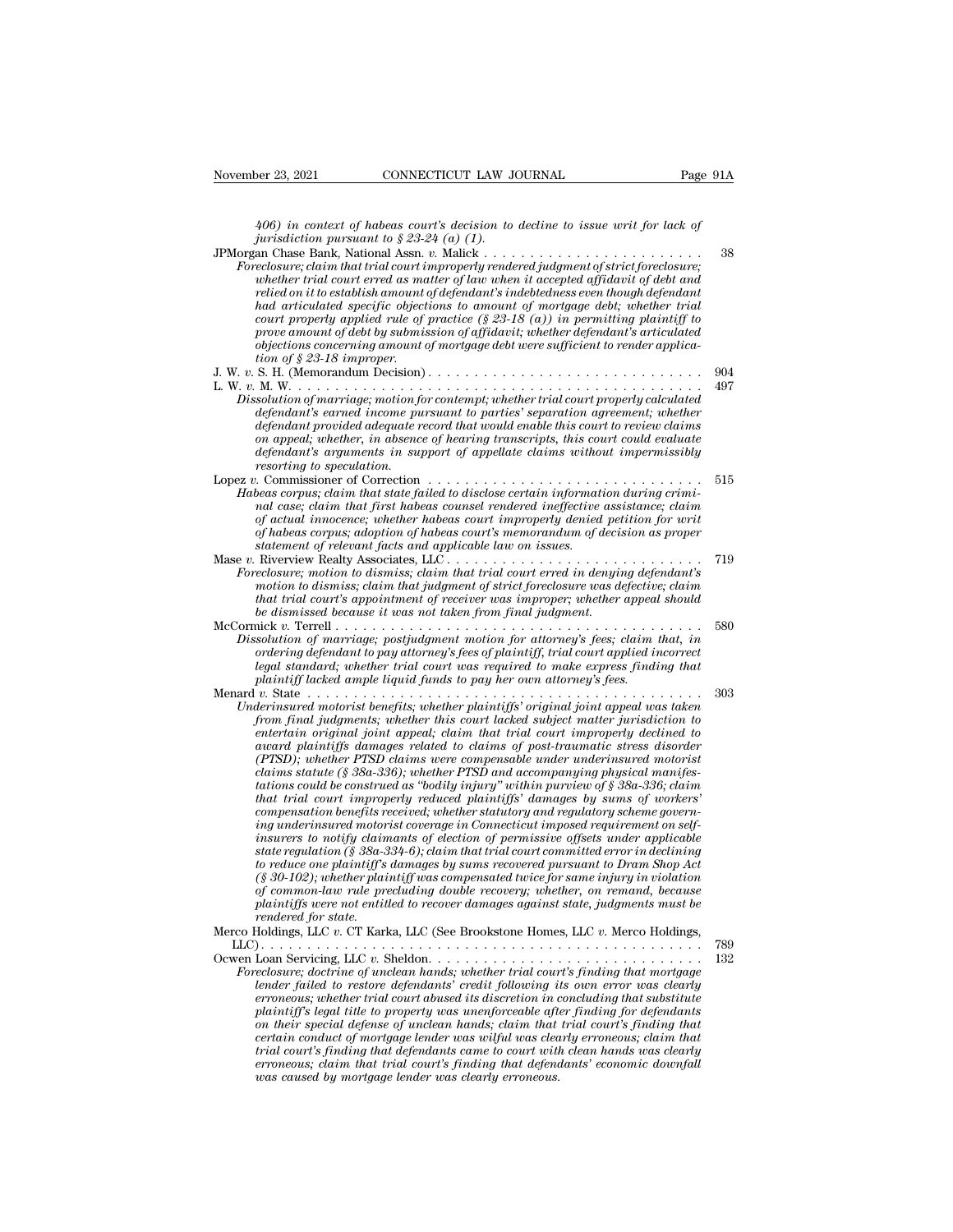*406) in context of habeas court's decision to decline to issue writ for lack of*<br>*jurisdiction pursuant to § 23-24 (a) (1).*<br>*an Chase Bank National Assn n* Malick 38 *jurisdiction pursuant to § 23-24 (a) in context of habeas court's decision to jurisdiction pursuant to § 23-24 (a) (1).*<br>*jurisdiction pursuant to § 23-24 (a) (1).*<br>*an Chase Bank, National Assn. v. Malick ...*<br>*reclosure* 

| November 23, 2021          | CONNECTICUT LAW JOURNAL                                                                                                                                                                                                                                                                                                                                                                                                                                                                                                                                                                                                                                                                                                                                                                                                                                                                                                                                                                                                                                                                                                                                                                                                                                                                                                                                                                                                                                              | Page 91A   |
|----------------------------|----------------------------------------------------------------------------------------------------------------------------------------------------------------------------------------------------------------------------------------------------------------------------------------------------------------------------------------------------------------------------------------------------------------------------------------------------------------------------------------------------------------------------------------------------------------------------------------------------------------------------------------------------------------------------------------------------------------------------------------------------------------------------------------------------------------------------------------------------------------------------------------------------------------------------------------------------------------------------------------------------------------------------------------------------------------------------------------------------------------------------------------------------------------------------------------------------------------------------------------------------------------------------------------------------------------------------------------------------------------------------------------------------------------------------------------------------------------------|------------|
|                            | 406) in context of habeas court's decision to decline to issue writ for lack of                                                                                                                                                                                                                                                                                                                                                                                                                                                                                                                                                                                                                                                                                                                                                                                                                                                                                                                                                                                                                                                                                                                                                                                                                                                                                                                                                                                      |            |
|                            | jurisdiction pursuant to $\S 23-24$ (a) (1).<br>$\label{thm:reclosure} For e closure; claim that trial court improperly rendered judgment of strict foreclosure;$<br>whether trial court erred as matter of law when it accepted affidavit of debt and<br>relied on it to establish amount of defendant's indebtedness even though defendant<br>had articulated specific objections to amount of mortgage debt; whether trial<br>court properly applied rule of practice $(\S 23-18(a))$ in permitting plaintiff to                                                                                                                                                                                                                                                                                                                                                                                                                                                                                                                                                                                                                                                                                                                                                                                                                                                                                                                                                  | 38         |
| tion of $$23-18$ improper. | prove amount of debt by submission of affidavit; whether defendant's articulated<br>objections concerning amount of mortgage debt were sufficient to render applica-                                                                                                                                                                                                                                                                                                                                                                                                                                                                                                                                                                                                                                                                                                                                                                                                                                                                                                                                                                                                                                                                                                                                                                                                                                                                                                 |            |
| resorting to speculation.  | Dissolution of marriage; motion for contempt; whether trial court properly calculated<br>defendant's earned income pursuant to parties' separation agreement; whether<br>defendant provided adequate record that would enable this court to review claims<br>on appeal; whether, in absence of hearing transcripts, this court could evaluate<br>defendant's arguments in support of appellate claims without impermissibly                                                                                                                                                                                                                                                                                                                                                                                                                                                                                                                                                                                                                                                                                                                                                                                                                                                                                                                                                                                                                                          | 904<br>497 |
|                            | Habeas corpus; claim that state failed to disclose certain information during crimi-<br>nal case; claim that first habeas counsel rendered ineffective assistance; claim<br>of actual innocence; whether habeas court improperly denied petition for writ<br>of habeas corpus; adoption of habeas court's memorandum of decision as proper<br>statement of relevant facts and applicable law on issues.                                                                                                                                                                                                                                                                                                                                                                                                                                                                                                                                                                                                                                                                                                                                                                                                                                                                                                                                                                                                                                                              | 515        |
|                            | Mase v. Riverview Realty Associates, LLC<br>Foreclosure; motion to dismiss; claim that trial court erred in denying defendant's<br>motion to dismiss; claim that judgment of strict foreclosure was defective; claim<br>that trial court's appointment of receiver was improper; whether appeal should<br>be dismissed because it was not taken from final judgment.                                                                                                                                                                                                                                                                                                                                                                                                                                                                                                                                                                                                                                                                                                                                                                                                                                                                                                                                                                                                                                                                                                 | 719        |
|                            | Dissolution of marriage; postjudgment motion for attorney's fees; claim that, in<br>ordering defendant to pay attorney's fees of plaintiff, trial court applied incorrect<br>legal standard; whether trial court was required to make express finding that<br>plaintiff lacked ample liquid funds to pay her own attorney's fees.                                                                                                                                                                                                                                                                                                                                                                                                                                                                                                                                                                                                                                                                                                                                                                                                                                                                                                                                                                                                                                                                                                                                    | 580        |
| rendered for state.        | Menard v. State $\ldots \ldots \ldots \ldots \ldots \ldots \ldots \ldots \ldots \ldots \ldots$<br>Underinsured motorist benefits; whether plaintiffs' original joint appeal was taken<br>from final judgments; whether this court lacked subject matter jurisdiction to<br>entertain original joint appeal; claim that trial court improperly declined to<br>award plaintiffs damages related to claims of post-traumatic stress disorder<br>(PTSD); whether PTSD claims were compensable under underinsured motorist<br>claims statute (§ 38a-336); whether PTSD and accompanying physical manifes-<br>tations could be construed as "bodily injury" within purview of $\S$ 38a-336; claim<br>that trial court improperly reduced plaintiffs' damages by sums of workers'<br>compensation benefits received; whether statutory and regulatory scheme govern-<br>ing underinsured motorist coverage in Connecticut imposed requirement on self-<br>insurers to notify claimants of election of permissive offsets under applicable<br>state regulation (§ 38a-334-6); claim that trial court committed error in declining<br>to reduce one plaintiff's damages by sums recovered pursuant to Dram Shop Act<br>$(\S 30-102)$ ; whether plaintiff was compensated twice for same injury in violation<br>of common-law rule precluding double recovery; whether, on remand, because<br>plaintiffs were not entitled to recover damages against state, judgments must be | 303        |
|                            | Merco Holdings, LLC v. CT Karka, LLC (See Brookstone Homes, LLC v. Merco Holdings,<br>Ocwen Loan Servicing, LLC v. Sheldon<br>Foreclosure; doctrine of unclean hands; whether trial court's finding that mortgage<br>lender failed to restore defendants' credit following its own error was clearly<br>erroneous; whether trial court abused its discretion in concluding that substitute<br>plaintiff's legal title to property was unenforceable after finding for defendants<br>on their special defense of unclean hands; claim that trial court's finding that<br>certain conduct of mortgage lender was wilful was clearly erroneous; claim that<br>trial court's finding that defendants came to court with clean hands was clearly<br>erroneous; claim that trial court's finding that defendants' economic downfall<br>was caused by mortgage lender was clearly erroneous.                                                                                                                                                                                                                                                                                                                                                                                                                                                                                                                                                                                | 789<br>132 |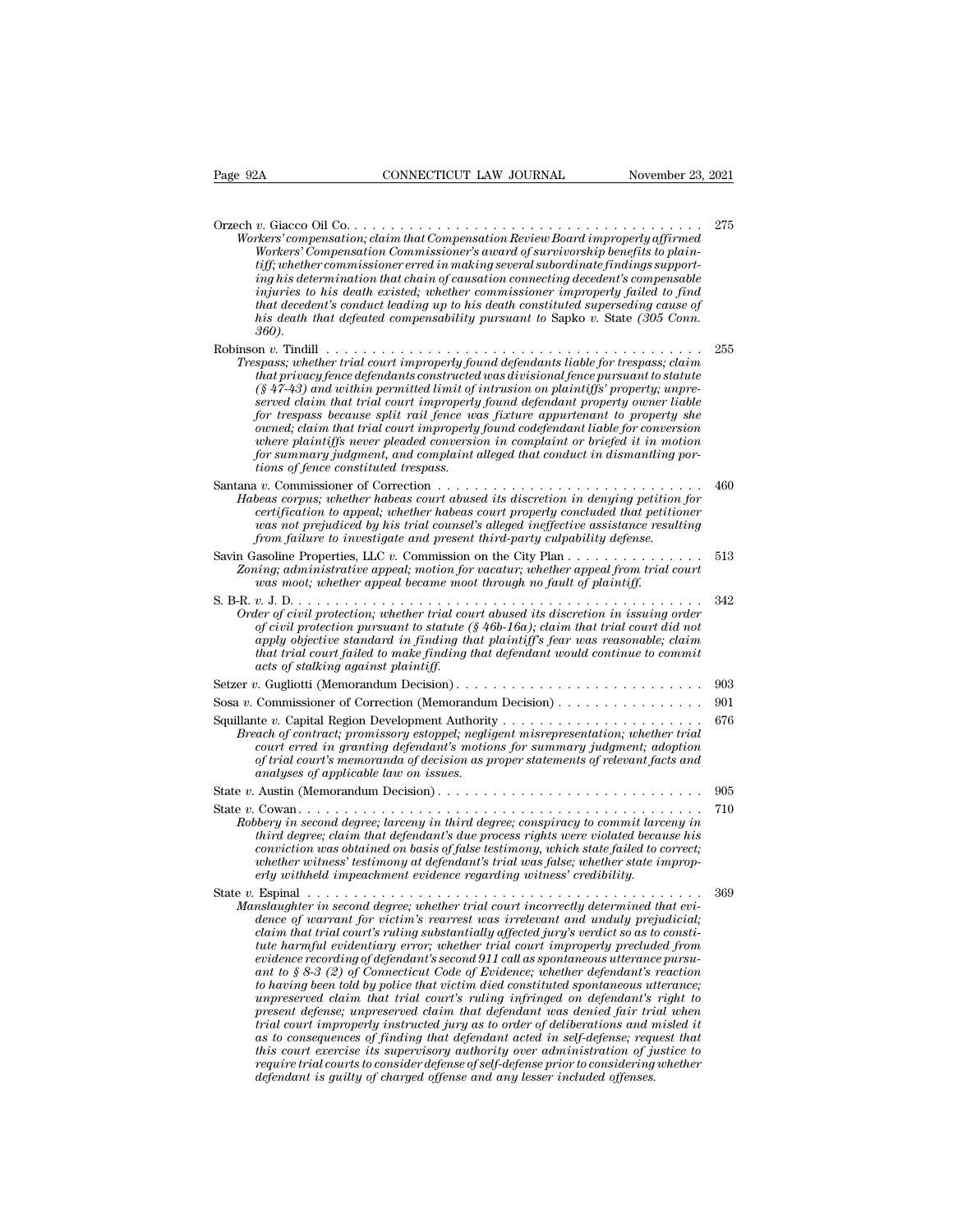| Page 92A                            | CONNECTICUT LAW JOURNAL                                                                                                                                                                                                                                                                                                                                                                                                                                                                                                                                                                                                                                                                                                                                                                                                                                                                                                                                                                                                                                                                                                                                                                                                                                                                                                           | November 23, 2021 |
|-------------------------------------|-----------------------------------------------------------------------------------------------------------------------------------------------------------------------------------------------------------------------------------------------------------------------------------------------------------------------------------------------------------------------------------------------------------------------------------------------------------------------------------------------------------------------------------------------------------------------------------------------------------------------------------------------------------------------------------------------------------------------------------------------------------------------------------------------------------------------------------------------------------------------------------------------------------------------------------------------------------------------------------------------------------------------------------------------------------------------------------------------------------------------------------------------------------------------------------------------------------------------------------------------------------------------------------------------------------------------------------|-------------------|
|                                     |                                                                                                                                                                                                                                                                                                                                                                                                                                                                                                                                                                                                                                                                                                                                                                                                                                                                                                                                                                                                                                                                                                                                                                                                                                                                                                                                   |                   |
| 360).                               | Workers' compensation; claim that Compensation Review Board improperly affirmed<br>Workers' Compensation Commissioner's award of survivorship benefits to plain-<br>$\it{tiff; whether commissioner erred in making several subordinate findings support-}$<br>ing his determination that chain of causation connecting decedent's compensable<br>injuries to his death existed; whether commissioner improperly failed to find<br>that decedent's conduct leading up to his death constituted superseding cause of<br>his death that defeated compensability pursuant to Sapko v. State $(305 \text{ Comn.})$                                                                                                                                                                                                                                                                                                                                                                                                                                                                                                                                                                                                                                                                                                                    | 275               |
|                                     | Trespass; whether trial court improperly found defendants liable for trespass; claim<br>that privacy fence defendants constructed was divisional fence pursuant to statute<br>$(\S 47-43)$ and within permitted limit of intrusion on plaintiffs' property; unpre-<br>served claim that trial court improperly found defendant property owner liable<br>for trespass because split rail fence was fixture appurtenant to property she<br>owned; claim that trial court improperly found codefendant liable for conversion<br>where plaintiffs never pleaded conversion in complaint or briefed it in motion<br>for summary judgment, and complaint alleged that conduct in dismantling por-<br>tions of fence constituted trespass.                                                                                                                                                                                                                                                                                                                                                                                                                                                                                                                                                                                               | 255               |
|                                     | Habeas corpus; whether habeas court abused its discretion in denying petition for<br>certification to appeal; whether habeas court properly concluded that petitioner<br>was not prejudiced by his trial counsel's alleged ineffective assistance resulting<br>from failure to investigate and present third-party culpability defense.                                                                                                                                                                                                                                                                                                                                                                                                                                                                                                                                                                                                                                                                                                                                                                                                                                                                                                                                                                                           | 460               |
|                                     | Savin Gasoline Properties, LLC $v$ . Commission on the City Plan $\dots \dots \dots$<br>Zoning; administrative appeal; motion for vacatur; whether appeal from trial court<br>was moot; whether appeal became moot through no fault of plaintiff.                                                                                                                                                                                                                                                                                                                                                                                                                                                                                                                                                                                                                                                                                                                                                                                                                                                                                                                                                                                                                                                                                 | 513               |
| acts of stalking against plaintiff. | Order of civil protection; whether trial court abused its discretion in issuing order<br>of civil protection pursuant to statute ( $\S$ 46b-16a); claim that trial court did not<br>apply objective standard in finding that plaintiff's fear was reasonable; claim<br>that trial court failed to make finding that defendant would continue to commit                                                                                                                                                                                                                                                                                                                                                                                                                                                                                                                                                                                                                                                                                                                                                                                                                                                                                                                                                                            | 342               |
|                                     |                                                                                                                                                                                                                                                                                                                                                                                                                                                                                                                                                                                                                                                                                                                                                                                                                                                                                                                                                                                                                                                                                                                                                                                                                                                                                                                                   | 903               |
|                                     |                                                                                                                                                                                                                                                                                                                                                                                                                                                                                                                                                                                                                                                                                                                                                                                                                                                                                                                                                                                                                                                                                                                                                                                                                                                                                                                                   | 901               |
|                                     | Breach of contract; promissory estoppel; negligent misrepresentation; whether trial<br>court erred in granting defendant's motions for summary judgment; adoption<br>of trial court's memoranda of decision as proper statements of relevant facts and<br>analyses of applicable law on issues.                                                                                                                                                                                                                                                                                                                                                                                                                                                                                                                                                                                                                                                                                                                                                                                                                                                                                                                                                                                                                                   | 676               |
|                                     | State v. Austin (Memorandum Decision)                                                                                                                                                                                                                                                                                                                                                                                                                                                                                                                                                                                                                                                                                                                                                                                                                                                                                                                                                                                                                                                                                                                                                                                                                                                                                             | 905               |
|                                     | Robbery in second degree; larceny in third degree; conspiracy to commit larceny in<br>third degree; claim that defendant's due process rights were violated because his<br>conviction was obtained on basis of false testimony, which state failed to correct;<br>whether witness' testimony at defendant's trial was false; whether state improp-<br>erly withheld impeachment evidence regarding witness' credibility.                                                                                                                                                                                                                                                                                                                                                                                                                                                                                                                                                                                                                                                                                                                                                                                                                                                                                                          | 710               |
|                                     | State v. Espinal $\ldots \ldots \ldots \ldots \ldots \ldots \ldots \ldots \ldots \ldots \ldots \ldots \ldots$<br>Manslaughter in second degree; whether trial court incorrectly determined that evi-<br>dence of warrant for victim's rearrest was irrelevant and unduly prejudicial;<br>claim that trial court's ruling substantially affected jury's verdict so as to consti-<br>tute harmful evidentiary error; whether trial court improperly precluded from<br>evidence recording of defendant's second 911 call as spontaneous utterance pursu-<br>ant to $\S 8-3$ (2) of Connecticut Code of Evidence; whether defendant's reaction<br>to having been told by police that victim died constituted spontaneous utterance;<br>unpreserved claim that trial court's ruling infringed on defendant's right to<br>present defense; unpreserved claim that defendant was denied fair trial when<br>trial court improperly instructed jury as to order of deliberations and misled it<br>as to consequences of finding that defendant acted in self-defense; request that<br>this court exercise its supervisory authority over administration of justice to<br>require trial courts to consider defense of self-defense prior to considering whether<br>defendant is quilty of charged offense and any lesser included offenses. | 369               |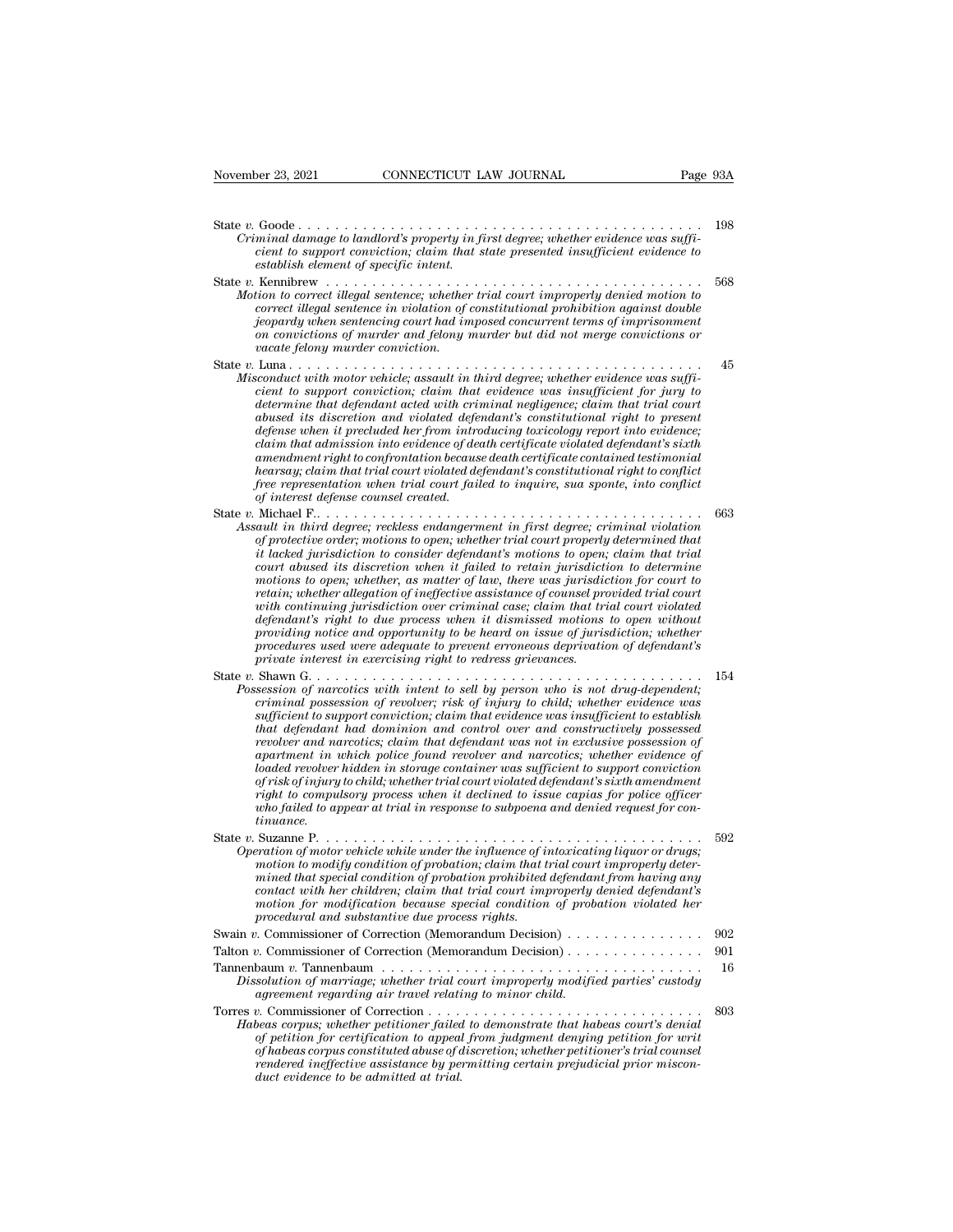| CONNECTICUT LAW JOURNAL<br>November 23, 2021                                                                                                                                                                                                                                                                                                                                                                                                                                                                                                                                                                                                                                                                                                                                                                                                                                                                                  | Page 93A |
|-------------------------------------------------------------------------------------------------------------------------------------------------------------------------------------------------------------------------------------------------------------------------------------------------------------------------------------------------------------------------------------------------------------------------------------------------------------------------------------------------------------------------------------------------------------------------------------------------------------------------------------------------------------------------------------------------------------------------------------------------------------------------------------------------------------------------------------------------------------------------------------------------------------------------------|----------|
| Criminal damage to landlord's property in first degree; whether evidence was suffi-<br>cient to support conviction; claim that state presented insufficient evidence to<br>establish element of specific intent.                                                                                                                                                                                                                                                                                                                                                                                                                                                                                                                                                                                                                                                                                                              | 198      |
| Motion to correct illegal sentence; whether trial court improperly denied motion to<br>correct illegal sentence in violation of constitutional prohibition against double<br>jeopardy when sentencing court had imposed concurrent terms of imprisonment<br>on convictions of murder and felony murder but did not merge convictions or<br>vacate felony murder conviction.                                                                                                                                                                                                                                                                                                                                                                                                                                                                                                                                                   | 568      |
| State $v$ . Luna<br>Misconduct with motor vehicle; assault in third degree; whether evidence was suffi-<br>cient to support conviction; claim that evidence was insufficient for jury to<br>determine that defendant acted with criminal negligence; claim that trial court<br>abused its discretion and violated defendant's constitutional right to present<br>defense when it precluded her from introducing toxicology report into evidence;<br>claim that admission into evidence of death certificate violated defendant's sixth<br>amendment right to confrontation because death certificate contained testimonial<br>hearsay; claim that trial court violated defendant's constitutional right to conflict<br>free representation when trial court failed to inquire, sua sponte, into conflict<br>of interest defense counsel created.                                                                              | 45       |
| Assault in third degree; reckless endangerment in first degree; criminal violation<br>of protective order; motions to open; whether trial court properly determined that<br>it lacked jurisdiction to consider defendant's motions to open; claim that trial<br>court abused its discretion when it failed to retain jurisdiction to determine<br>motions to open; whether, as matter of law, there was jurisdiction for court to<br>retain; whether allegation of ineffective assistance of counsel provided trial court<br>with continuing jurisdiction over criminal case; claim that trial court violated<br>defendant's right to due process when it dismissed motions to open without<br>providing notice and opportunity to be heard on issue of jurisdiction; whether<br>procedures used were adequate to prevent erroneous deprivation of defendant's<br>private interest in exercising right to redress grievances. | 663      |
| Possession of narcotics with intent to sell by person who is not drug-dependent;<br>criminal possession of revolver; risk of injury to child; whether evidence was<br>sufficient to support conviction; claim that evidence was insufficient to establish<br>that defendant had dominion and control over and constructively possessed<br>revolver and narcotics; claim that defendant was not in exclusive possession of<br>apartment in which police found revolver and narcotics; whether evidence of<br>loaded revolver hidden in storage container was sufficient to support conviction<br>of risk of injury to child; whether trial court violated defendant's sixth amendment<br>right to compulsory process when it declined to issue capias for police officer<br>who failed to appear at trial in response to subpoena and denied request for con-<br>tinuance.                                                     | 154      |
| Operation of motor vehicle while under the influence of intoxicating liquor or drugs;<br>motion to modify condition of probation; claim that trial court improperly deter-<br>mined that special condition of probation prohibited defendant from having any<br>contact with her children; claim that trial court improperly denied defendant's<br>motion for modification because special condition of probation violated her<br>procedural and substantive due process rights.                                                                                                                                                                                                                                                                                                                                                                                                                                              | 592      |
| Swain v. Commissioner of Correction (Memorandum Decision) $\dots \dots \dots \dots \dots$                                                                                                                                                                                                                                                                                                                                                                                                                                                                                                                                                                                                                                                                                                                                                                                                                                     | 902      |
| Talton v. Commissioner of Correction (Memorandum Decision)                                                                                                                                                                                                                                                                                                                                                                                                                                                                                                                                                                                                                                                                                                                                                                                                                                                                    | 901      |
|                                                                                                                                                                                                                                                                                                                                                                                                                                                                                                                                                                                                                                                                                                                                                                                                                                                                                                                               |          |

| motion to modify condition of probation; claim that trial court improperly deter-<br>mined that special condition of probation prohibited defendant from having any<br>contact with her children; claim that trial court improperly denied defendant's<br>motion for modification because special condition of probation violated her<br>procedural and substantive due process rights.    |     |
|--------------------------------------------------------------------------------------------------------------------------------------------------------------------------------------------------------------------------------------------------------------------------------------------------------------------------------------------------------------------------------------------|-----|
|                                                                                                                                                                                                                                                                                                                                                                                            | 902 |
|                                                                                                                                                                                                                                                                                                                                                                                            |     |
| Dissolution of marriage; whether trial court improperly modified parties' custody<br>agreement regarding air travel relating to minor child.                                                                                                                                                                                                                                               | -16 |
| Habeas corpus; whether petitioner failed to demonstrate that habeas court's denial<br>of petition for certification to appeal from judgment denying petition for writ<br>of habeas corpus constituted abuse of discretion; whether petitioner's trial counsel<br>rendered ineffective assistance by permitting certain prejudicial prior miscon-<br>duct evidence to be admitted at trial. | 803 |